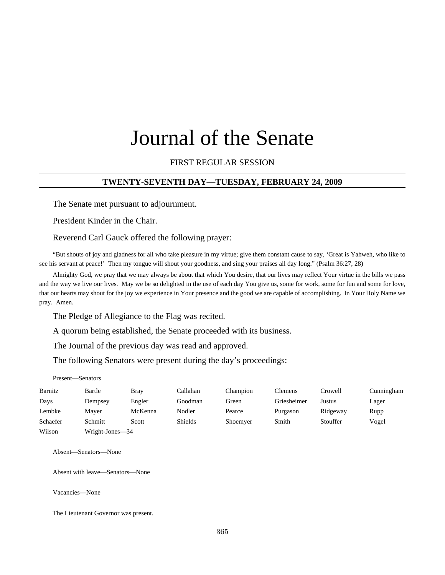# Journal of the Senate

## FIRST REGULAR SESSION

## **TWENTY-SEVENTH DAY—TUESDAY, FEBRUARY 24, 2009**

The Senate met pursuant to adjournment.

President Kinder in the Chair.

#### Reverend Carl Gauck offered the following prayer:

"But shouts of joy and gladness for all who take pleasure in my virtue; give them constant cause to say, 'Great is Yahweh, who like to see his servant at peace!' Then my tongue will shout your goodness, and sing your praises all day long." (Psalm 36:27, 28)

Almighty God, we pray that we may always be about that which You desire, that our lives may reflect Your virtue in the bills we pass and the way we live our lives. May we be so delighted in the use of each day You give us, some for work, some for fun and some for love, that our hearts may shout for the joy we experience in Your presence and the good we are capable of accomplishing. In Your Holy Name we pray. Amen.

The Pledge of Allegiance to the Flag was recited.

A quorum being established, the Senate proceeded with its business.

The Journal of the previous day was read and approved.

The following Senators were present during the day's proceedings:

Present—Senators

| Barnitz  | Bartle          | Brav    | Callahan       | Champion | Clemens     | Crowell  | Cunningham |
|----------|-----------------|---------|----------------|----------|-------------|----------|------------|
| Days     | Dempsey         | Engler  | Goodman        | Green    | Griesheimer | Justus   | Lager      |
| Lembke   | Maver           | McKenna | Nodler         | Pearce   | Purgason    | Ridgeway | Rupp       |
| Schaefer | Schmitt         | Scott   | <b>Shields</b> | Shoemyer | Smith       | Stouffer | Vogel      |
| Wilson   | Wright-Jones—34 |         |                |          |             |          |            |

Absent—Senators—None

Absent with leave—Senators—None

Vacancies—None

The Lieutenant Governor was present.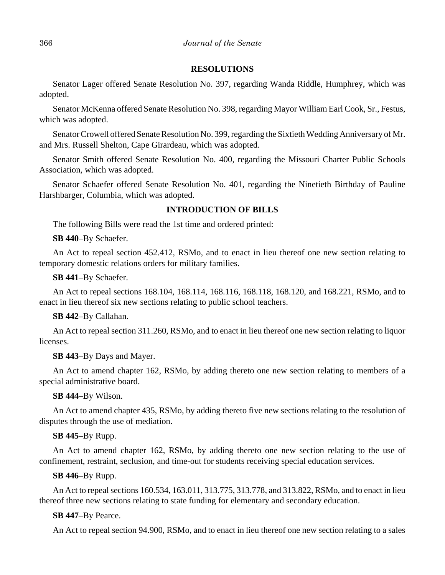## **RESOLUTIONS**

Senator Lager offered Senate Resolution No. 397, regarding Wanda Riddle, Humphrey, which was adopted.

Senator McKenna offered Senate Resolution No. 398, regarding Mayor William Earl Cook, Sr., Festus, which was adopted.

Senator Crowell offered Senate Resolution No. 399, regarding the Sixtieth Wedding Anniversary of Mr. and Mrs. Russell Shelton, Cape Girardeau, which was adopted.

Senator Smith offered Senate Resolution No. 400, regarding the Missouri Charter Public Schools Association, which was adopted.

Senator Schaefer offered Senate Resolution No. 401, regarding the Ninetieth Birthday of Pauline Harshbarger, Columbia, which was adopted.

## **INTRODUCTION OF BILLS**

The following Bills were read the 1st time and ordered printed:

#### **SB 440**–By Schaefer.

An Act to repeal section 452.412, RSMo, and to enact in lieu thereof one new section relating to temporary domestic relations orders for military families.

### **SB 441**–By Schaefer.

An Act to repeal sections 168.104, 168.114, 168.116, 168.118, 168.120, and 168.221, RSMo, and to enact in lieu thereof six new sections relating to public school teachers.

#### **SB 442**–By Callahan.

An Act to repeal section 311.260, RSMo, and to enact in lieu thereof one new section relating to liquor licenses.

#### **SB 443**–By Days and Mayer.

An Act to amend chapter 162, RSMo, by adding thereto one new section relating to members of a special administrative board.

## **SB 444**–By Wilson.

An Act to amend chapter 435, RSMo, by adding thereto five new sections relating to the resolution of disputes through the use of mediation.

#### **SB 445**–By Rupp.

An Act to amend chapter 162, RSMo, by adding thereto one new section relating to the use of confinement, restraint, seclusion, and time-out for students receiving special education services.

## **SB 446**–By Rupp.

An Act to repeal sections 160.534, 163.011, 313.775, 313.778, and 313.822, RSMo, and to enact in lieu thereof three new sections relating to state funding for elementary and secondary education.

#### **SB 447**–By Pearce.

An Act to repeal section 94.900, RSMo, and to enact in lieu thereof one new section relating to a sales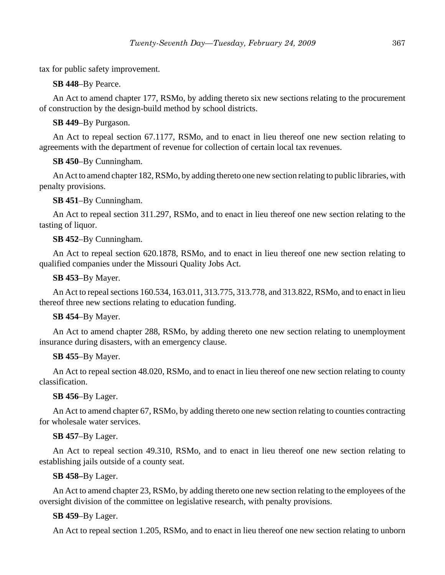tax for public safety improvement.

**SB 448**–By Pearce.

An Act to amend chapter 177, RSMo, by adding thereto six new sections relating to the procurement of construction by the design-build method by school districts.

**SB 449**–By Purgason.

An Act to repeal section 67.1177, RSMo, and to enact in lieu thereof one new section relating to agreements with the department of revenue for collection of certain local tax revenues.

**SB 450**–By Cunningham.

An Act to amend chapter 182, RSMo, by adding thereto one new section relating to public libraries, with penalty provisions.

# **SB 451**–By Cunningham.

An Act to repeal section 311.297, RSMo, and to enact in lieu thereof one new section relating to the tasting of liquor.

# **SB 452**–By Cunningham.

An Act to repeal section 620.1878, RSMo, and to enact in lieu thereof one new section relating to qualified companies under the Missouri Quality Jobs Act.

# **SB 453**–By Mayer.

An Act to repeal sections 160.534, 163.011, 313.775, 313.778, and 313.822, RSMo, and to enact in lieu thereof three new sections relating to education funding.

# **SB 454**–By Mayer.

An Act to amend chapter 288, RSMo, by adding thereto one new section relating to unemployment insurance during disasters, with an emergency clause.

# **SB 455**–By Mayer.

An Act to repeal section 48.020, RSMo, and to enact in lieu thereof one new section relating to county classification.

# **SB 456**–By Lager.

An Act to amend chapter 67, RSMo, by adding thereto one new section relating to counties contracting for wholesale water services.

# **SB 457**–By Lager.

An Act to repeal section 49.310, RSMo, and to enact in lieu thereof one new section relating to establishing jails outside of a county seat.

# **SB 458–**By Lager.

An Act to amend chapter 23, RSMo, by adding thereto one new section relating to the employees of the oversight division of the committee on legislative research, with penalty provisions.

# **SB 459**–By Lager.

An Act to repeal section 1.205, RSMo, and to enact in lieu thereof one new section relating to unborn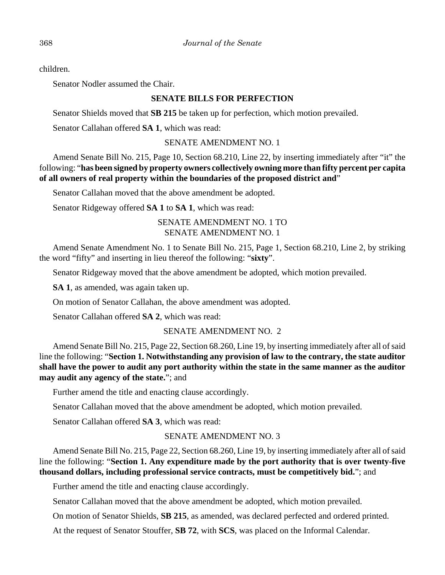children.

Senator Nodler assumed the Chair.

# **SENATE BILLS FOR PERFECTION**

Senator Shields moved that **SB 215** be taken up for perfection, which motion prevailed.

Senator Callahan offered **SA 1**, which was read:

## SENATE AMENDMENT NO. 1

Amend Senate Bill No. 215, Page 10, Section 68.210, Line 22, by inserting immediately after "it" the following: "**has been signed by property owners collectively owning more than fifty percent per capita of all owners of real property within the boundaries of the proposed district and**"

Senator Callahan moved that the above amendment be adopted.

Senator Ridgeway offered **SA 1** to **SA 1**, which was read:

# SENATE AMENDMENT NO. 1 TO SENATE AMENDMENT NO. 1

Amend Senate Amendment No. 1 to Senate Bill No. 215, Page 1, Section 68.210, Line 2, by striking the word "fifty" and inserting in lieu thereof the following: "**sixty**".

Senator Ridgeway moved that the above amendment be adopted, which motion prevailed.

**SA 1**, as amended, was again taken up.

On motion of Senator Callahan, the above amendment was adopted.

Senator Callahan offered **SA 2**, which was read:

# SENATE AMENDMENT NO. 2

Amend Senate Bill No. 215, Page 22, Section 68.260, Line 19, by inserting immediately after all of said line the following: "**Section 1. Notwithstanding any provision of law to the contrary, the state auditor shall have the power to audit any port authority within the state in the same manner as the auditor may audit any agency of the state.**"; and

Further amend the title and enacting clause accordingly.

Senator Callahan moved that the above amendment be adopted, which motion prevailed.

Senator Callahan offered **SA 3**, which was read:

# SENATE AMENDMENT NO. 3

Amend Senate Bill No. 215, Page 22, Section 68.260, Line 19, by inserting immediately after all of said line the following: "**Section 1. Any expenditure made by the port authority that is over twenty-five thousand dollars, including professional service contracts, must be competitively bid.**"; and

Further amend the title and enacting clause accordingly.

Senator Callahan moved that the above amendment be adopted, which motion prevailed.

On motion of Senator Shields, **SB 215**, as amended, was declared perfected and ordered printed.

At the request of Senator Stouffer, **SB 72**, with **SCS**, was placed on the Informal Calendar.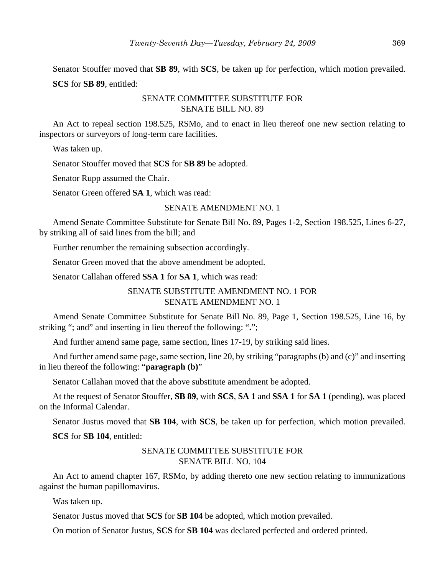Senator Stouffer moved that **SB 89**, with **SCS**, be taken up for perfection, which motion prevailed. **SCS** for **SB 89**, entitled:

# SENATE COMMITTEE SUBSTITUTE FOR SENATE BILL NO. 89

An Act to repeal section 198.525, RSMo, and to enact in lieu thereof one new section relating to inspectors or surveyors of long-term care facilities.

Was taken up.

Senator Stouffer moved that **SCS** for **SB 89** be adopted.

Senator Rupp assumed the Chair.

Senator Green offered **SA 1**, which was read:

# SENATE AMENDMENT NO. 1

Amend Senate Committee Substitute for Senate Bill No. 89, Pages 1-2, Section 198.525, Lines 6-27, by striking all of said lines from the bill; and

Further renumber the remaining subsection accordingly.

Senator Green moved that the above amendment be adopted.

Senator Callahan offered **SSA 1** for **SA 1**, which was read:

SENATE SUBSTITUTE AMENDMENT NO. 1 FOR SENATE AMENDMENT NO. 1

Amend Senate Committee Substitute for Senate Bill No. 89, Page 1, Section 198.525, Line 16, by striking "; and" and inserting in lieu thereof the following: "**.**";

And further amend same page, same section, lines 17-19, by striking said lines.

And further amend same page, same section, line 20, by striking "paragraphs (b) and (c)" and inserting in lieu thereof the following: "**paragraph (b)**"

Senator Callahan moved that the above substitute amendment be adopted.

At the request of Senator Stouffer, **SB 89**, with **SCS**, **SA 1** and **SSA 1** for **SA 1** (pending), was placed on the Informal Calendar.

Senator Justus moved that **SB 104**, with **SCS**, be taken up for perfection, which motion prevailed.

**SCS** for **SB 104**, entitled:

# SENATE COMMITTEE SUBSTITUTE FOR SENATE BILL NO. 104

An Act to amend chapter 167, RSMo, by adding thereto one new section relating to immunizations against the human papillomavirus.

Was taken up.

Senator Justus moved that **SCS** for **SB 104** be adopted, which motion prevailed.

On motion of Senator Justus, **SCS** for **SB 104** was declared perfected and ordered printed.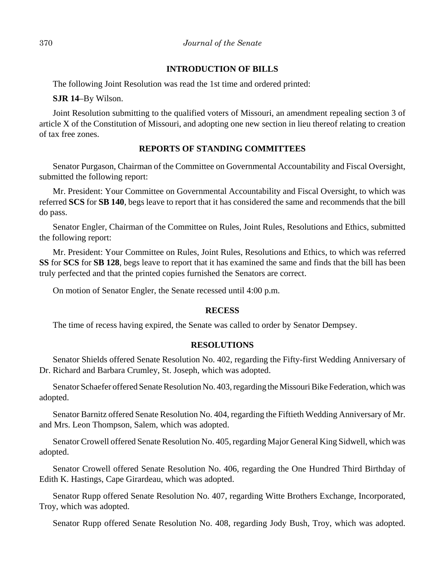## **INTRODUCTION OF BILLS**

The following Joint Resolution was read the 1st time and ordered printed:

**SJR 14**–By Wilson.

Joint Resolution submitting to the qualified voters of Missouri, an amendment repealing section 3 of article X of the Constitution of Missouri, and adopting one new section in lieu thereof relating to creation of tax free zones.

# **REPORTS OF STANDING COMMITTEES**

Senator Purgason, Chairman of the Committee on Governmental Accountability and Fiscal Oversight, submitted the following report:

Mr. President: Your Committee on Governmental Accountability and Fiscal Oversight, to which was referred **SCS** for **SB 140**, begs leave to report that it has considered the same and recommends that the bill do pass.

Senator Engler, Chairman of the Committee on Rules, Joint Rules, Resolutions and Ethics, submitted the following report:

Mr. President: Your Committee on Rules, Joint Rules, Resolutions and Ethics, to which was referred **SS** for **SCS** for **SB 128**, begs leave to report that it has examined the same and finds that the bill has been truly perfected and that the printed copies furnished the Senators are correct.

On motion of Senator Engler, the Senate recessed until 4:00 p.m.

## **RECESS**

The time of recess having expired, the Senate was called to order by Senator Dempsey.

# **RESOLUTIONS**

Senator Shields offered Senate Resolution No. 402, regarding the Fifty-first Wedding Anniversary of Dr. Richard and Barbara Crumley, St. Joseph, which was adopted.

Senator Schaefer offered Senate Resolution No. 403, regarding the Missouri Bike Federation, which was adopted.

Senator Barnitz offered Senate Resolution No. 404, regarding the Fiftieth Wedding Anniversary of Mr. and Mrs. Leon Thompson, Salem, which was adopted.

Senator Crowell offered Senate Resolution No. 405, regarding Major General King Sidwell, which was adopted.

Senator Crowell offered Senate Resolution No. 406, regarding the One Hundred Third Birthday of Edith K. Hastings, Cape Girardeau, which was adopted.

Senator Rupp offered Senate Resolution No. 407, regarding Witte Brothers Exchange, Incorporated, Troy, which was adopted.

Senator Rupp offered Senate Resolution No. 408, regarding Jody Bush, Troy, which was adopted.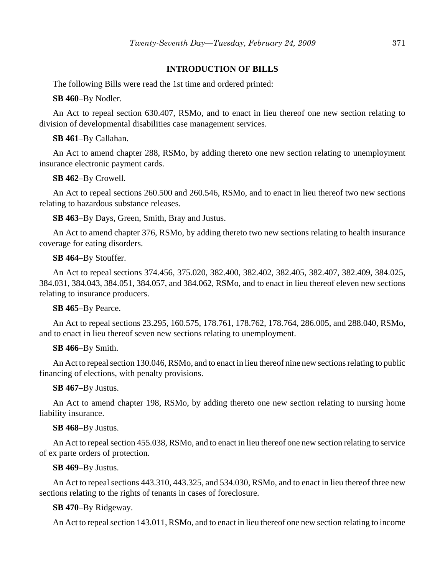## **INTRODUCTION OF BILLS**

The following Bills were read the 1st time and ordered printed:

**SB 460**–By Nodler.

An Act to repeal section 630.407, RSMo, and to enact in lieu thereof one new section relating to division of developmental disabilities case management services.

#### **SB 461**–By Callahan.

An Act to amend chapter 288, RSMo, by adding thereto one new section relating to unemployment insurance electronic payment cards.

#### **SB 462**–By Crowell.

An Act to repeal sections 260.500 and 260.546, RSMo, and to enact in lieu thereof two new sections relating to hazardous substance releases.

**SB 463**–By Days, Green, Smith, Bray and Justus.

An Act to amend chapter 376, RSMo, by adding thereto two new sections relating to health insurance coverage for eating disorders.

## **SB 464**–By Stouffer.

An Act to repeal sections 374.456, 375.020, 382.400, 382.402, 382.405, 382.407, 382.409, 384.025, 384.031, 384.043, 384.051, 384.057, and 384.062, RSMo, and to enact in lieu thereof eleven new sections relating to insurance producers.

## **SB 465**–By Pearce.

An Act to repeal sections 23.295, 160.575, 178.761, 178.762, 178.764, 286.005, and 288.040, RSMo, and to enact in lieu thereof seven new sections relating to unemployment.

#### **SB 466**–By Smith.

An Act to repeal section 130.046, RSMo, and to enact in lieu thereof nine new sections relating to public financing of elections, with penalty provisions.

## **SB 467**–By Justus.

An Act to amend chapter 198, RSMo, by adding thereto one new section relating to nursing home liability insurance.

## **SB 468**–By Justus.

An Act to repeal section 455.038, RSMo, and to enact in lieu thereof one new section relating to service of ex parte orders of protection.

## **SB 469**–By Justus.

An Act to repeal sections 443.310, 443.325, and 534.030, RSMo, and to enact in lieu thereof three new sections relating to the rights of tenants in cases of foreclosure.

## **SB 470**–By Ridgeway.

An Act to repeal section 143.011, RSMo, and to enact in lieu thereof one new section relating to income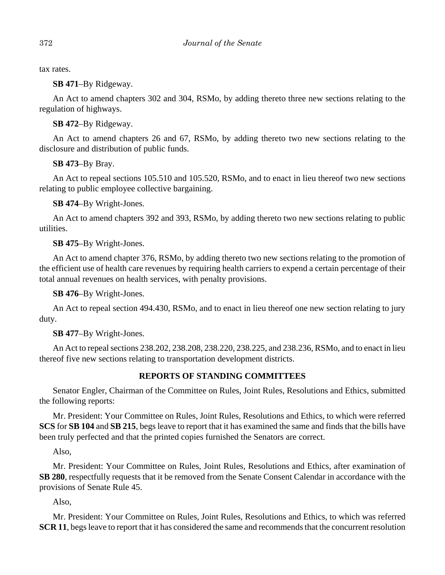tax rates.

**SB 471**–By Ridgeway.

An Act to amend chapters 302 and 304, RSMo, by adding thereto three new sections relating to the regulation of highways.

**SB 472**–By Ridgeway.

An Act to amend chapters 26 and 67, RSMo, by adding thereto two new sections relating to the disclosure and distribution of public funds.

**SB 473**–By Bray.

An Act to repeal sections 105.510 and 105.520, RSMo, and to enact in lieu thereof two new sections relating to public employee collective bargaining.

**SB 474**–By Wright-Jones.

An Act to amend chapters 392 and 393, RSMo, by adding thereto two new sections relating to public utilities.

# **SB 475**–By Wright-Jones.

An Act to amend chapter 376, RSMo, by adding thereto two new sections relating to the promotion of the efficient use of health care revenues by requiring health carriers to expend a certain percentage of their total annual revenues on health services, with penalty provisions.

**SB 476**–By Wright-Jones.

An Act to repeal section 494.430, RSMo, and to enact in lieu thereof one new section relating to jury duty.

**SB 477**–By Wright-Jones.

An Act to repeal sections 238.202, 238.208, 238.220, 238.225, and 238.236, RSMo, and to enact in lieu thereof five new sections relating to transportation development districts.

# **REPORTS OF STANDING COMMITTEES**

Senator Engler, Chairman of the Committee on Rules, Joint Rules, Resolutions and Ethics, submitted the following reports:

Mr. President: Your Committee on Rules, Joint Rules, Resolutions and Ethics, to which were referred **SCS** for **SB 104** and **SB 215**, begs leave to report that it has examined the same and finds that the bills have been truly perfected and that the printed copies furnished the Senators are correct.

Also,

Mr. President: Your Committee on Rules, Joint Rules, Resolutions and Ethics, after examination of **SB 280**, respectfully requests that it be removed from the Senate Consent Calendar in accordance with the provisions of Senate Rule 45.

Also,

Mr. President: Your Committee on Rules, Joint Rules, Resolutions and Ethics, to which was referred **SCR 11**, begs leave to report that it has considered the same and recommends that the concurrent resolution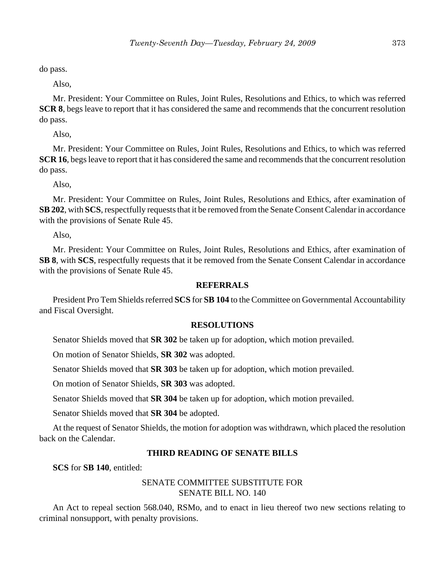do pass.

Also,

Mr. President: Your Committee on Rules, Joint Rules, Resolutions and Ethics, to which was referred **SCR 8**, begs leave to report that it has considered the same and recommends that the concurrent resolution do pass.

Also,

Mr. President: Your Committee on Rules, Joint Rules, Resolutions and Ethics, to which was referred **SCR 16**, begs leave to report that it has considered the same and recommends that the concurrent resolution do pass.

Also,

Mr. President: Your Committee on Rules, Joint Rules, Resolutions and Ethics, after examination of **SB 202**, with **SCS**, respectfully requests that it be removed from the Senate Consent Calendar in accordance with the provisions of Senate Rule 45.

Also,

Mr. President: Your Committee on Rules, Joint Rules, Resolutions and Ethics, after examination of **SB 8**, with **SCS**, respectfully requests that it be removed from the Senate Consent Calendar in accordance with the provisions of Senate Rule 45.

## **REFERRALS**

President Pro Tem Shields referred **SCS** for **SB 104** to the Committee on Governmental Accountability and Fiscal Oversight.

## **RESOLUTIONS**

Senator Shields moved that **SR 302** be taken up for adoption, which motion prevailed.

On motion of Senator Shields, **SR 302** was adopted.

Senator Shields moved that **SR 303** be taken up for adoption, which motion prevailed.

On motion of Senator Shields, **SR 303** was adopted.

Senator Shields moved that **SR 304** be taken up for adoption, which motion prevailed.

Senator Shields moved that **SR 304** be adopted.

At the request of Senator Shields, the motion for adoption was withdrawn, which placed the resolution back on the Calendar.

## **THIRD READING OF SENATE BILLS**

**SCS** for **SB 140**, entitled:

# SENATE COMMITTEE SUBSTITUTE FOR SENATE BILL NO. 140

An Act to repeal section 568.040, RSMo, and to enact in lieu thereof two new sections relating to criminal nonsupport, with penalty provisions.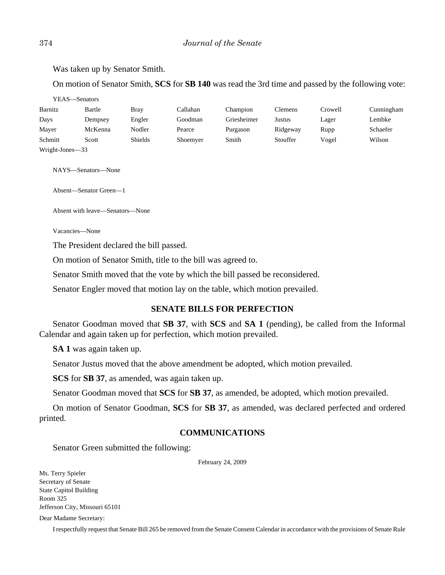Was taken up by Senator Smith.

On motion of Senator Smith, **SCS** for **SB 140** was read the 3rd time and passed by the following vote:

YEAS—Senators Barnitz Bartle Bray Callahan Champion Clemens Crowell Cunningham Days Dempsey Engler Goodman Griesheimer Justus Lager Lembke Mayer McKenna Nodler Pearce Purgason Ridgeway Rupp Schaefer Schmitt Scott Shields Shoemyer Smith Stouffer Vogel Wilson Wright-Jones—33

NAYS—Senators—None

Absent—Senator Green—1

Absent with leave—Senators—None

Vacancies—None

The President declared the bill passed.

On motion of Senator Smith, title to the bill was agreed to.

Senator Smith moved that the vote by which the bill passed be reconsidered.

Senator Engler moved that motion lay on the table, which motion prevailed.

## **SENATE BILLS FOR PERFECTION**

Senator Goodman moved that **SB 37**, with **SCS** and **SA 1** (pending), be called from the Informal Calendar and again taken up for perfection, which motion prevailed.

**SA 1** was again taken up.

Senator Justus moved that the above amendment be adopted, which motion prevailed.

**SCS** for **SB 37**, as amended, was again taken up.

Senator Goodman moved that **SCS** for **SB 37**, as amended, be adopted, which motion prevailed.

On motion of Senator Goodman, **SCS** for **SB 37**, as amended, was declared perfected and ordered printed.

# **COMMUNICATIONS**

Senator Green submitted the following:

February 24, 2009

Ms. Terry Spieler Secretary of Senate State Capitol Building Room 325 Jefferson City, Missouri 65101

Dear Madame Secretary:

I respectfully request that Senate Bill 265 be removed from the Senate Consent Calendar in accordance with the provisions of Senate Rule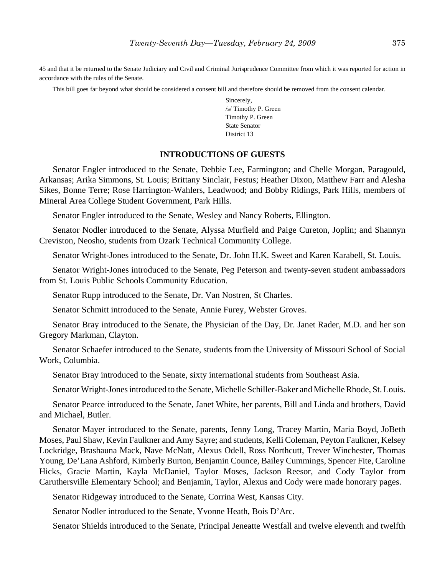45 and that it be returned to the Senate Judiciary and Civil and Criminal Jurisprudence Committee from which it was reported for action in accordance with the rules of the Senate.

This bill goes far beyond what should be considered a consent bill and therefore should be removed from the consent calendar.

Sincerely, /s/ Timothy P. Green Timothy P. Green State Senator District 13

## **INTRODUCTIONS OF GUESTS**

Senator Engler introduced to the Senate, Debbie Lee, Farmington; and Chelle Morgan, Paragould, Arkansas; Arika Simmons, St. Louis; Brittany Sinclair, Festus; Heather Dixon, Matthew Farr and Alesha Sikes, Bonne Terre; Rose Harrington-Wahlers, Leadwood; and Bobby Ridings, Park Hills, members of Mineral Area College Student Government, Park Hills.

Senator Engler introduced to the Senate, Wesley and Nancy Roberts, Ellington.

Senator Nodler introduced to the Senate, Alyssa Murfield and Paige Cureton, Joplin; and Shannyn Creviston, Neosho, students from Ozark Technical Community College.

Senator Wright-Jones introduced to the Senate, Dr. John H.K. Sweet and Karen Karabell, St. Louis.

Senator Wright-Jones introduced to the Senate, Peg Peterson and twenty-seven student ambassadors from St. Louis Public Schools Community Education.

Senator Rupp introduced to the Senate, Dr. Van Nostren, St Charles.

Senator Schmitt introduced to the Senate, Annie Furey, Webster Groves.

Senator Bray introduced to the Senate, the Physician of the Day, Dr. Janet Rader, M.D. and her son Gregory Markman, Clayton.

Senator Schaefer introduced to the Senate, students from the University of Missouri School of Social Work, Columbia.

Senator Bray introduced to the Senate, sixty international students from Southeast Asia.

Senator Wright-Jones introduced to the Senate, Michelle Schiller-Baker and Michelle Rhode, St. Louis.

Senator Pearce introduced to the Senate, Janet White, her parents, Bill and Linda and brothers, David and Michael, Butler.

Senator Mayer introduced to the Senate, parents, Jenny Long, Tracey Martin, Maria Boyd, JoBeth Moses, Paul Shaw, Kevin Faulkner and Amy Sayre; and students, Kelli Coleman, Peyton Faulkner, Kelsey Lockridge, Brashauna Mack, Nave McNatt, Alexus Odell, Ross Northcutt, Trever Winchester, Thomas Young, De'Lana Ashford, Kimberly Burton, Benjamin Counce, Bailey Cummings, Spencer Fite, Caroline Hicks, Gracie Martin, Kayla McDaniel, Taylor Moses, Jackson Reesor, and Cody Taylor from Caruthersville Elementary School; and Benjamin, Taylor, Alexus and Cody were made honorary pages.

Senator Ridgeway introduced to the Senate, Corrina West, Kansas City.

Senator Nodler introduced to the Senate, Yvonne Heath, Bois D'Arc.

Senator Shields introduced to the Senate, Principal Jeneatte Westfall and twelve eleventh and twelfth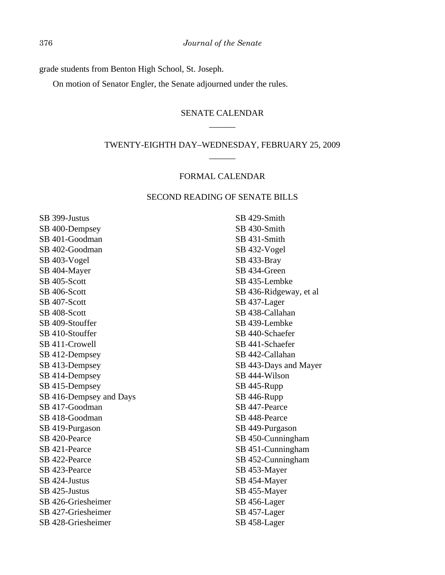grade students from Benton High School, St. Joseph.

On motion of Senator Engler, the Senate adjourned under the rules.

# SENATE CALENDAR \_\_\_\_\_\_

# TWENTY-EIGHTH DAY–WEDNESDAY, FEBRUARY 25, 2009  $\overline{\phantom{a}}$

## FORMAL CALENDAR

## SECOND READING OF SENATE BILLS

SB 399-Justus SB 400-Dempsey SB 401-Goodman SB 402-Goodman SB 403-Vogel SB 404-Mayer SB 405-Scott SB 406-Scott SB 407-Scott SB 408-Scott SB 409-Stouffer SB 410-Stouffer SB 411-Crowell SB 412-Dempsey SB 413-Dempsey SB 414-Dempsey SB 415-Dempsey SB 416-Dempsey and Days SB 417-Goodman SB 418-Goodman SB 419-Purgason SB 420-Pearce SB 421-Pearce SB 422-Pearce SB 423-Pearce SB 424-Justus SB 425-Justus SB 426-Griesheimer SB 427-Griesheimer SB 428-Griesheimer

SB 429-Smith SB 430-Smith SB 431-Smith SB 432-Vogel SB 433-Bray SB 434-Green SB 435-Lembke SB 436-Ridgeway, et al SB 437-Lager SB 438-Callahan SB 439-Lembke SB 440-Schaefer SB 441-Schaefer SB 442-Callahan SB 443-Days and Mayer SB 444-Wilson SB 445-Rupp SB 446-Rupp SB 447-Pearce SB 448-Pearce SB 449-Purgason SB 450-Cunningham SB 451-Cunningham SB 452-Cunningham SB 453-Mayer SB 454-Mayer SB 455-Mayer SB 456-Lager SB 457-Lager SB 458-Lager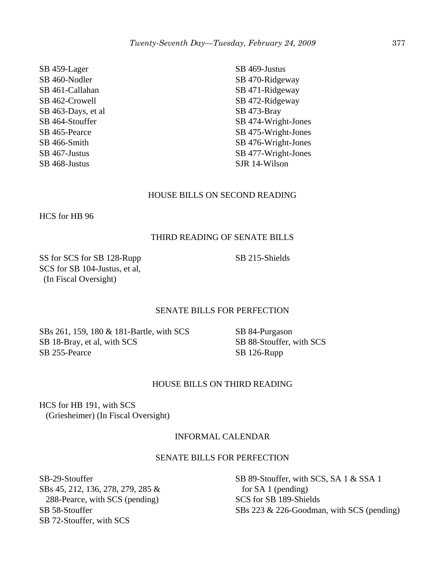SB 459-Lager SB 460-Nodler SB 461-Callahan SB 462-Crowell SB 463-Days, et al SB 464-Stouffer SB 465-Pearce SB 466-Smith SB 467-Justus SB 468-Justus

SB 469-Justus SB 470-Ridgeway SB 471-Ridgeway SB 472-Ridgeway SB 473-Bray SB 474-Wright-Jones SB 475-Wright-Jones SB 476-Wright-Jones SB 477-Wright-Jones SJR 14-Wilson

## HOUSE BILLS ON SECOND READING

HCS for HB 96

# THIRD READING OF SENATE BILLS

SS for SCS for SB 128-Rupp SCS for SB 104-Justus, et al, (In Fiscal Oversight)

SB 215-Shields

## SENATE BILLS FOR PERFECTION

SBs 261, 159, 180 & 181-Bartle, with SCS SB 18-Bray, et al, with SCS SB 255-Pearce

SB 84-Purgason SB 88-Stouffer, with SCS SB 126-Rupp

## HOUSE BILLS ON THIRD READING

HCS for HB 191, with SCS (Griesheimer) (In Fiscal Oversight)

# INFORMAL CALENDAR

## SENATE BILLS FOR PERFECTION

SB-29-Stouffer SBs 45, 212, 136, 278, 279, 285 & 288-Pearce, with SCS (pending) SB 58-Stouffer SB 72-Stouffer, with SCS

SB 89-Stouffer, with SCS, SA 1 & SSA 1 for SA 1 (pending) SCS for SB 189-Shields SBs 223 & 226-Goodman, with SCS (pending)